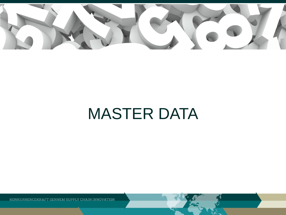

# MASTER DATA

KONKURRENCEKRAFT GENNEM SUPPLY CHAIN INNOVATION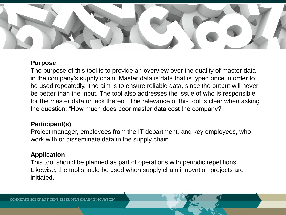

### **Purpose**

The purpose of this tool is to provide an overview over the quality of master data in the company's supply chain. Master data is data that is typed once in order to be used repeatedly. The aim is to ensure reliable data, since the output will never be better than the input. The tool also addresses the issue of who is responsible for the master data or lack thereof. The relevance of this tool is clear when asking the question: "How much does poor master data cost the company?"

## **Participant(s)**

Project manager, employees from the IT department, and key employees, who work with or disseminate data in the supply chain.

## **Application**

This tool should be planned as part of operations with periodic repetitions. Likewise, the tool should be used when supply chain innovation projects are initiated.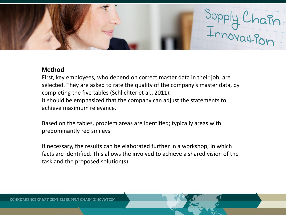

#### **Method**

First, key employees, who depend on correct master data in their job, are selected. They are asked to rate the quality of the company's master data, by completing the five tables (Schlichter et al., 2011). It should be emphasized that the company can adjust the statements to achieve maximum relevance.

Based on the tables, problem areas are identified; typically areas with predominantly red smileys.

If necessary, the results can be elaborated further in a workshop, in which facts are identified. This allows the involved to achieve a shared vision of the task and the proposed solution(s).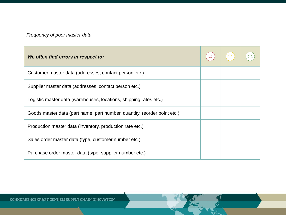## *Frequency of poor master data*

| We often find errors in respect to:                                      |  |  |
|--------------------------------------------------------------------------|--|--|
| Customer master data (addresses, contact person etc.)                    |  |  |
| Supplier master data (addresses, contact person etc.)                    |  |  |
| Logistic master data (warehouses, locations, shipping rates etc.)        |  |  |
| Goods master data (part name, part number, quantity, reorder point etc.) |  |  |
| Production master data (inventory, production rate etc.)                 |  |  |
| Sales order master data (type, customer number etc.)                     |  |  |
| Purchase order master data (type, supplier number etc.)                  |  |  |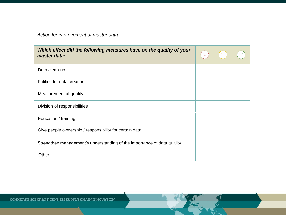*Action for improvement of master data*

| Which effect did the following measures have on the quality of your<br>master data: | $\frac{1}{2}$ | $\mathbb{Z}^*$ |  |
|-------------------------------------------------------------------------------------|---------------|----------------|--|
| Data clean-up                                                                       |               |                |  |
| Politics for data creation                                                          |               |                |  |
| Measurement of quality                                                              |               |                |  |
| Division of responsibilities                                                        |               |                |  |
| Education / training                                                                |               |                |  |
| Give people ownership / responsibility for certain data                             |               |                |  |
| Strengthen management's understanding of the importance of data quality             |               |                |  |
| Other                                                                               |               |                |  |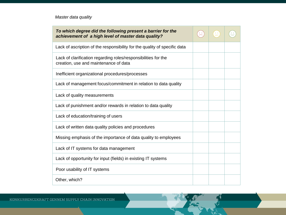*Master data quality*

| To which degree did the following present a barrier for the<br>achievement of a high level of master data quality? |  |  |
|--------------------------------------------------------------------------------------------------------------------|--|--|
| Lack of ascription of the responsibility for the quality of specific data                                          |  |  |
| Lack of clarification regarding roles/responsibilities for the<br>creation, use and maintenance of data            |  |  |
| Inefficient organizational procedures/processes                                                                    |  |  |
| Lack of management focus/commitment in relation to data quality                                                    |  |  |
| Lack of quality measurements                                                                                       |  |  |
| Lack of punishment and/or rewards in relation to data quality                                                      |  |  |
| Lack of education/training of users                                                                                |  |  |
| Lack of written data quality policies and procedures                                                               |  |  |
| Missing emphasis of the importance of data quality to employees                                                    |  |  |
| Lack of IT systems for data management                                                                             |  |  |
| Lack of opportunity for input (fields) in existing IT systems                                                      |  |  |
| Poor usability of IT systems                                                                                       |  |  |
| Other, which?                                                                                                      |  |  |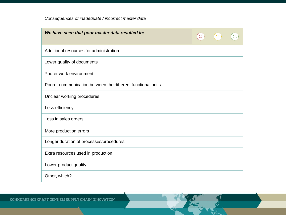*Consequences of inadequate / incorrect master data*

| We have seen that poor master data resulted in:             |  |  |
|-------------------------------------------------------------|--|--|
| Additional resources for administration                     |  |  |
| Lower quality of documents                                  |  |  |
| Poorer work environment                                     |  |  |
| Poorer communication between the different functional units |  |  |
| Unclear working procedures                                  |  |  |
| Less efficiency                                             |  |  |
| Loss in sales orders                                        |  |  |
| More production errors                                      |  |  |
| Longer duration of processes/procedures                     |  |  |
| Extra resources used in production                          |  |  |
| Lower product quality                                       |  |  |
| Other, which?                                               |  |  |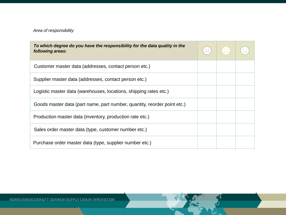#### *Area of responsibility*

| To which degree do you have the responsibility for the data quality in the<br>following areas: |  |  |
|------------------------------------------------------------------------------------------------|--|--|
| Customer master data (addresses, contact person etc.)                                          |  |  |
| Supplier master data (addresses, contact person etc.)                                          |  |  |
| Logistic master data (warehouses, locations, shipping rates etc.)                              |  |  |
| Goods master data (part name, part number, quantity, reorder point etc.)                       |  |  |
| Production master data (inventory, production rate etc.)                                       |  |  |
| Sales order master data (type, customer number etc.)                                           |  |  |
| Purchase order master data (type, supplier number etc.)                                        |  |  |